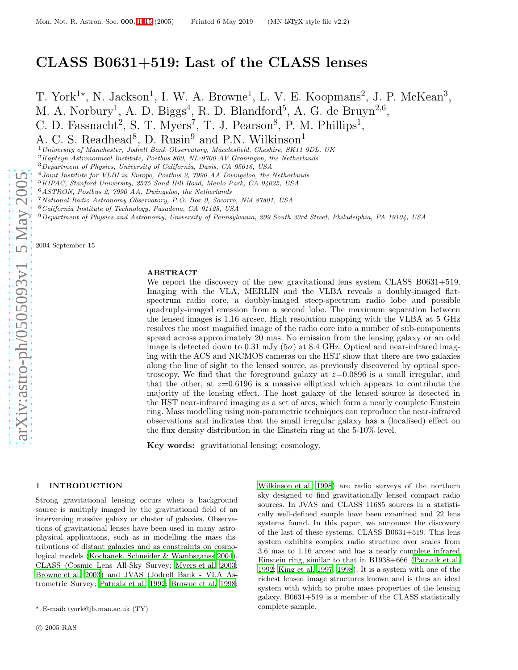T. York<sup>1\*</sup>, N. Jackson<sup>1</sup>, I. W. A. Browne<sup>1</sup>, L. V. E. Koopmans<sup>2</sup>, J. P. McKean<sup>3</sup>, M. A. Norbury<sup>1</sup>, A. D. Biggs<sup>4</sup>, R. D. Blandford<sup>5</sup>, A. G. de Bruyn<sup>2,6</sup>,

C. D. Fassnacht<sup>2</sup>, S. T. Myers<sup>7</sup>, T. J. Pearson<sup>8</sup>, P. M. Phillips<sup>1</sup>,

A. C. S. Readhead<sup>8</sup>, D. Rusin<sup>9</sup> and P.N. Wilkinson<sup>1</sup>

<sup>1</sup>University of Manchester, Jodrell Bank Observatory, Macclesfield, Cheshire, SK11 9DL, UK

<sup>2</sup>Kapteyn Astronomical Institute, Postbus 800, NL-9700 AV Groningen, the Netherlands

<sup>3</sup>Department of Physics, University of California, Davis, CA 95616, USA

<sup>4</sup>Joint Institute for VLBI in Europe, Postbus 2, 7990 AA Dwingeloo, the Netherlands

<sup>5</sup>KIPAC, Stanford University, 2575 Sand Hill Road, Menlo Park, CA 94025, USA

<sup>8</sup>California Institute of Technology, Pasadena, CA 91125, USA

 $9$ Department of Physics and Astronomy, University of Pennsylvania, 209 South 33rd Street, Philadelphia, PA 19104, USA

2004 September 15

#### ABSTRACT

We report the discovery of the new gravitational lens system CLASS B0631+519. Imaging with the VLA, MERLIN and the VLBA reveals a doubly-imaged flatspectrum radio core, a doubly-imaged steep-spectrum radio lobe and possible quadruply-imaged emission from a second lobe. The maximum separation between the lensed images is 1.16 arcsec. High resolution mapping with the VLBA at 5 GHz resolves the most magnified image of the radio core into a number of sub-components spread across approximately 20 mas. No emission from the lensing galaxy or an odd image is detected down to 0.31 mJy  $(5\sigma)$  at 8.4 GHz. Optical and near-infrared imaging with the ACS and NICMOS cameras on the HST show that there are two galaxies along the line of sight to the lensed source, as previously discovered by optical spectroscopy. We find that the foreground galaxy at  $z=0.0896$  is a small irregular, and that the other, at z=0.6196 is a massive elliptical which appears to contribute the majority of the lensing effect. The host galaxy of the lensed source is detected in the HST near-infrared imaging as a set of arcs, which form a nearly complete Einstein ring. Mass modelling using non-parametric techniques can reproduce the near-infrared observations and indicates that the small irregular galaxy has a (localised) effect on the flux density distribution in the Einstein ring at the 5-10% level.

Key words: gravitational lensing; cosmology.

#### 1 INTRODUCTION

Strong gravitational lensing occurs when a background source is multiply imaged by the gravitational field of an intervening massive galaxy or cluster of galaxies. Observa tions of gravitational lenses have been used in many astrophysical applications, such as in modelling the mass distributions of distant galaxies and as constraints on cosmological models [\(Kochanek, Schneider & Wambsganss 2004](#page-13-1)). CLASS (Cosmic Lens All-Sky Survey; [Myers et al. 2003;](#page-14-0) [Browne et al. 2003](#page-13-2)) and JVAS (Jodrell Bank - VLA Astrometric Survey; [Patnaik et al. 1992](#page-14-1); [Browne et al. 1998;](#page-13-3)

[Wilkinson et al. 1998\)](#page-14-2) are radio surveys of the northern sky designed to find gravitationally lensed compact radio sources. In JVAS and CLASS 11685 sources in a statistically well-defined sample have been examined and 22 lens systems found. In this paper, we announce the discovery of the last of these systems, CLASS B0631+519. This lens system exhibits complex radio structure over scales from 3.6 mas to 1.16 arcsec and has a nearly complete infrared Einstein ring, similar to that in B1938+666 [\(Patnaik et al.](#page-14-1) [1992](#page-14-1); [King et al. 1997](#page-13-4), [1998](#page-13-5)). It is a system with one of the richest lensed image structures known and is thus an ideal system with which to probe mass properties of the lensing galaxy. B0631+519 is a member of the CLASS statistically complete sample.

<sup>6</sup>ASTRON, Postbus 2, 7990 AA, Dwingeloo, the Netherlands

<sup>7</sup>National Radio Astronomy Observatory, P.O. Box 0, Socorro, NM 87801, USA

<sup>⋆</sup> E-mail: tyork@jb.man.ac.uk (TY)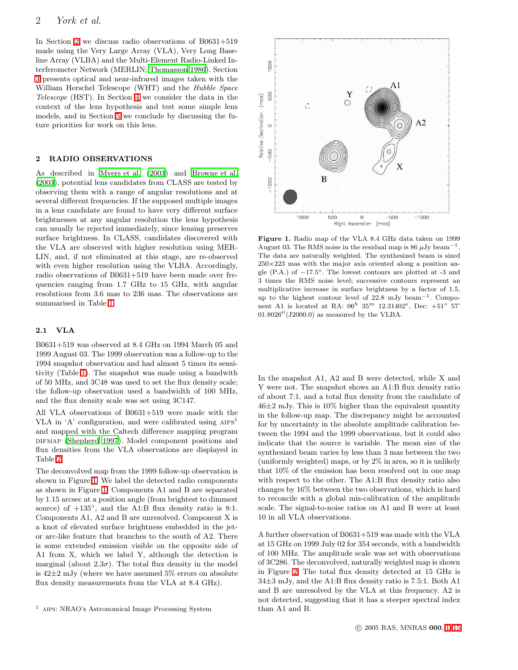In Section [2](#page-1-0) we discuss radio observations of B0631+519 made using the Very Large Array (VLA), Very Long Baseline Array (VLBA) and the Multi-Element Radio-Linked Interferometer Network (MERLIN; [Thomasson 1986](#page-14-3)). Section [3](#page-4-0) presents optical and near-infrared images taken with the William Herschel Telescope (WHT) and the Hubble Space Telescope (HST). In Section [4](#page-10-0) we consider the data in the context of the lens hypothesis and test some simple lens models, and in Section [5](#page-12-0) we conclude by discussing the future priorities for work on this lens.

# <span id="page-1-0"></span>2 RADIO OBSERVATIONS

As described in [Myers et al. \(2003](#page-14-0)) and [Browne et al.](#page-13-2) [\(2003](#page-13-2)), potential lens candidates from CLASS are tested by observing them with a range of angular resolutions and at several different frequencies. If the supposed multiple images in a lens candidate are found to have very different surface brightnesses at any angular resolution the lens hypothesis can usually be rejected immediately, since lensing preserves surface brightness. In CLASS, candidates discovered with the VLA are observed with higher resolution using MER-LIN, and, if not eliminated at this stage, are re-observed with even higher resolution using the VLBA. Accordingly, radio observations of B0631+519 have been made over frequencies ranging from 1.7 GHz to 15 GHz, with angular resolutions from 3.6 mas to 236 mas. The observations are summarised in Table [1.](#page-2-0)

### 2.1 VLA

B0631+519 was observed at 8.4 GHz on 1994 March 05 and 1999 August 03. The 1999 observation was a follow-up to the 1994 snapshot observation and had almost 5 times its sensitivity (Table [1\)](#page-2-0). The snapshot was made using a bandwith of 50 MHz, and 3C48 was used to set the flux density scale; the follow-up observation used a bandwidth of 100 MHz, and the flux density scale was set using 3C147.

All VLA observations of B0631+519 were made with the VLA in 'A' configuration, and were calibrated using  $AIPS<sup>1</sup>$ and mapped with the Caltech difference mapping program DIFMAP [\(Shepherd 1997\)](#page-14-4). Model component positions and flux densities from the VLA observations are displayed in Table [2.](#page-2-1)

The deconvolved map from the 1999 follow-up observation is shown in Figure [1.](#page-1-1) We label the detected radio components as shown in Figure [1.](#page-1-1) Components A1 and B are separated by 1.15 arcsec at a position angle (from brightest to dimmest source) of  $+135^\circ$ , and the A1:B flux density ratio is 8:1. Components A1, A2 and B are unresolved. Component X is a knot of elevated surface brightness embedded in the jetor arc-like feature that branches to the south of A2. There is some extended emission visible on the opposite side of A1 from X, which we label Y, although the detection is marginal (about  $2.3\sigma$ ). The total flux density in the model is  $42\pm2$  mJy (where we have assumed 5% errors on absolute flux density measurements from the VLA at 8.4 GHz).



<span id="page-1-1"></span>Figure 1. Radio map of the VLA 8.4 GHz data taken on 1999 August 03. The RMS noise in the residual map is 86  $\mu$ Jy beam<sup>-1</sup>. The data are naturally weighted. The synthesized beam is sized  $250\times223$  mas with the major axis oriented along a position angle  $(P.A.)$  of  $-17.5^\circ$ . The lowest contours are plotted at -3 and 3 times the RMS noise level; successive contours represent an multiplicative increase in surface brightness by a factor of 1.5, up to the highest contour level of 22.8 mJy beam−<sup>1</sup> . Component A1 is located at RA:  $06^h$   $35^m$   $12.31402^s$ , Dec:  $+51^{\circ}$   $57'$ 01.8026′′(J2000.0) as measured by the VLBA.

In the snapshot A1, A2 and B were detected, while X and Y were not. The snapshot shows an A1:B flux density ratio of about 7:1, and a total flux density from the candidate of  $46\pm2$  mJy. This is 10% higher than the equivalent quantity in the follow-up map. The discrepancy might be accounted for by uncertainty in the absolute amplitude calibration between the 1994 and the 1999 observations, but it could also indicate that the source is variable. The mean size of the synthesized beam varies by less than 3 mas between the two (uniformly weighted) maps, or by 2% in area, so it is unlikely that 10% of the emission has been resolved out in one map with respect to the other. The A1:B flux density ratio also changes by 16% between the two observations, which is hard to reconcile with a global mis-calibration of the amplitude scale. The signal-to-noise ratios on A1 and B were at least 10 in all VLA observations.

A further observation of B0631+519 was made with the VLA at 15 GHz on 1999 July 02 for 354 seconds, with a bandwidth of 100 MHz. The amplitude scale was set with observations of 3C286. The deconvolved, naturally weighted map is shown in Figure [2.](#page-2-2) The total flux density detected at 15 GHz is 34±3 mJy, and the A1:B flux density ratio is 7.5:1. Both A1 and B are unresolved by the VLA at this frequency. A2 is not detected, suggesting that it has a steeper spectral index than A1 and B.

 $^{\rm 1}$  AIPS: NRAO's Astronomical Image Processing System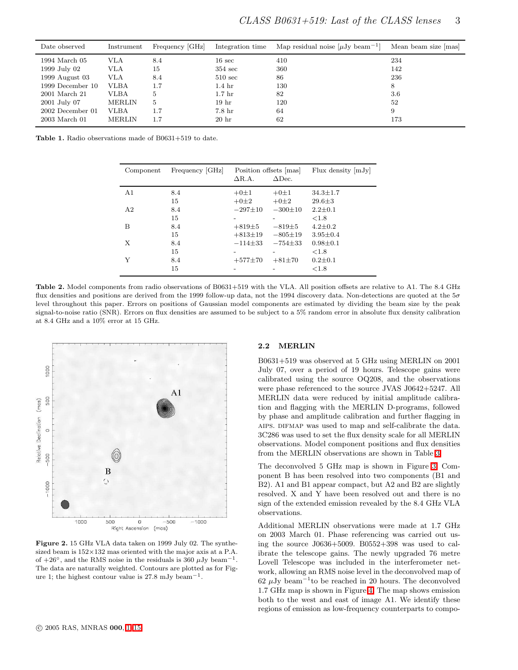| Date observed      | Instrument    | Frequency [GHz] |                   | Integration time Map residual noise $[\mu Jy$ beam <sup>-1</sup> | Mean beam size [mas] |
|--------------------|---------------|-----------------|-------------------|------------------------------------------------------------------|----------------------|
| 1994 March 05      | VLA           | 8.4             | $16 \text{ sec}$  | 410                                                              | 234                  |
| 1999 July 02       | VLA           | 15              | $354 \text{ sec}$ | 360                                                              | 142                  |
| 1999 August $03$   | VLA           | 8.4             | $510 \text{ sec}$ | 86                                                               | 236                  |
| 1999 December 10   | VLBA          | 1.7             | $1.4\;{\rm hr}$   | 130                                                              | 8                    |
| 2001 March 21      | VLBA          | 5               | 1.7 <sub>hr</sub> | 82                                                               | 3.6                  |
| 2001 July 07       | <b>MERLIN</b> | 5               | 19 <sub>hr</sub>  | 120                                                              | 52                   |
| $2002$ December 01 | VLBA          | 1.7             | $7.8\;{\rm hr}$   | 64                                                               | 9                    |
| 2003 March 01      | <b>MERLIN</b> | $1.7^{\circ}$   | 20 <sub>hr</sub>  | 62                                                               | 173                  |

*CLASS B0631+519: Last of the CLASS lenses* 3

<span id="page-2-0"></span>Table 1. Radio observations made of B0631+519 to date.

| Component      | Frequency [GHz] | $\Delta$ R.A. | Position offsets   mas  <br>$\triangle$ Dec. | Flux density $ mJy $ |
|----------------|-----------------|---------------|----------------------------------------------|----------------------|
| A1             | 8.4             | $+0\pm1$      | $+0±1$                                       | $34.3 \pm 1.7$       |
|                | 15              | $+0±2$        | $+0±2$                                       | $29.6 \pm 3$         |
| A <sub>2</sub> | 8.4             | $-297 \pm 10$ | $-300\pm10$                                  | $2.2 \pm 0.1$        |
|                | 15              |               |                                              | ${<}1.8$             |
| B              | 8.4             | $+819+5$      | $-819\pm5$                                   | $4.2 \pm 0.2$        |
|                | 15              | $+813 \pm 19$ | $-805 \pm 19$                                | $3.95 \pm 0.4$       |
| X              | 8.4             | $-114\pm 33$  | $-754 \pm 33$                                | $0.98 \pm 0.1$       |
|                | 15              |               |                                              | ${<}1.8$             |
| Y              | 8.4             | $+577 \pm 70$ | $+81\pm70$                                   | $0.2 \pm 0.1$        |
|                | 15              |               |                                              | ${<}1.8$             |

<span id="page-2-1"></span>Table 2. Model components from radio observations of B0631+519 with the VLA. All position offsets are relative to A1. The 8.4 GHz flux densities and positions are derived from the 1999 follow-up data, not the 1994 discovery data. Non-detections are quoted at the  $5\sigma$ level throughout this paper. Errors on positions of Gaussian model components are estimated by dividing the beam size by the peak signal-to-noise ratio (SNR). Errors on flux densities are assumed to be subject to a 5% random error in absolute flux density calibration at 8.4 GHz and a 10% error at 15 GHz.



<span id="page-2-2"></span>Figure 2. 15 GHz VLA data taken on 1999 July 02. The synthesized beam is  $152\times132$  mas oriented with the major axis at a P.A. of  $+26°$ , and the RMS noise in the residuals is 360  $\mu$ Jy beam<sup>-1</sup>. The data are naturally weighted. Contours are plotted as for Figure 1; the highest contour value is  $27.8 \text{ mJy beam}^{-1}$ .

#### 2.2 MERLIN

B0631+519 was observed at 5 GHz using MERLIN on 2001 July 07, over a period of 19 hours. Telescope gains were calibrated using the source OQ208, and the observations were phase referenced to the source JVAS J0642+5247. All MERLIN data were reduced by initial amplitude calibration and flagging with the MERLIN D-programs, followed by phase and amplitude calibration and further flagging in AIPS. DIFMAP was used to map and self-calibrate the data. 3C286 was used to set the flux density scale for all MERLIN observations. Model component positions and flux densities from the MERLIN observations are shown in Table [3.](#page-4-1)

The deconvolved 5 GHz map is shown in Figure [3.](#page-3-0) Component B has been resolved into two components (B1 and B2). A1 and B1 appear compact, but A2 and B2 are slightly resolved. X and Y have been resolved out and there is no sign of the extended emission revealed by the 8.4 GHz VLA observations.

Additional MERLIN observations were made at 1.7 GHz on 2003 March 01. Phase referencing was carried out using the source J0636+5009. B0552+398 was used to calibrate the telescope gains. The newly upgraded 76 metre Lovell Telescope was included in the interferometer network, allowing an RMS noise level in the deconvolved map of 62  $\mu$ Jy beam<sup>-1</sup> to be reached in 20 hours. The deconvolved 1.7 GHz map is shown in Figure [4.](#page-3-1) The map shows emission both to the west and east of image A1. We identify these regions of emission as low-frequency counterparts to compo-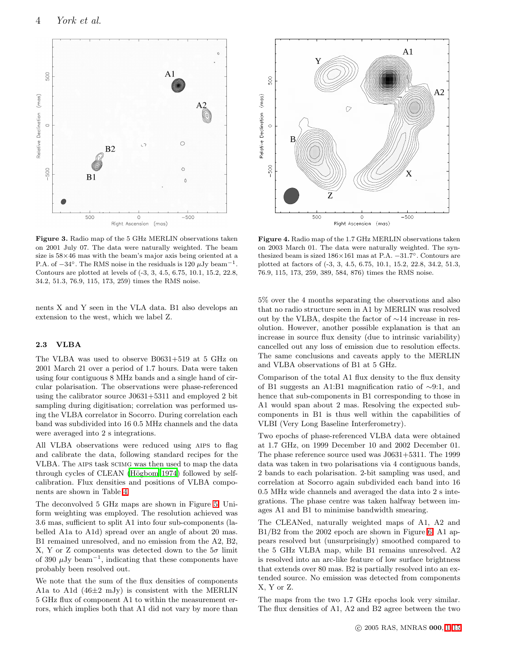

<span id="page-3-0"></span>Figure 3. Radio map of the 5 GHz MERLIN observations taken on 2001 July 07. The data were naturally weighted. The beam size is 58×46 mas with the beam's major axis being oriented at a P.A. of  $-34^\circ$ . The RMS noise in the residuals is 120  $\mu$ Jy beam<sup>-1</sup>. Contours are plotted at levels of (-3, 3, 4.5, 6.75, 10.1, 15.2, 22.8, 34.2, 51.3, 76.9, 115, 173, 259) times the RMS noise.

nents X and Y seen in the VLA data. B1 also develops an extension to the west, which we label Z.

# 2.3 VLBA

The VLBA was used to observe B0631+519 at 5 GHz on 2001 March 21 over a period of 1.7 hours. Data were taken using four contiguous 8 MHz bands and a single hand of circular polarisation. The observations were phase-referenced using the calibrator source J0631+5311 and employed 2 bit sampling during digitisation; correlation was performed using the VLBA correlator in Socorro. During correlation each band was subdivided into 16 0.5 MHz channels and the data were averaged into 2 s integrations.

All VLBA observations were reduced using aips to flag and calibrate the data, following standard recipes for the VLBA. The aips task scimg was then used to map the data through cycles of CLEAN (Högbom 1974) followed by selfcalibration. Flux densities and positions of VLBA components are shown in Table [4.](#page-5-0)

The deconvolved 5 GHz maps are shown in Figure [5.](#page-7-0) Uniform weighting was employed. The resolution achieved was 3.6 mas, sufficient to split A1 into four sub-components (labelled A1a to A1d) spread over an angle of about 20 mas. B1 remained unresolved, and no emission from the A2, B2, X, Y or Z components was detected down to the  $5\sigma$  limit of 390  $\mu$ Jy beam<sup>-1</sup>, indicating that these components have probably been resolved out.

We note that the sum of the flux densities of components A1a to A1d (46±2 mJy) is consistent with the MERLIN 5 GHz flux of component A1 to within the measurement errors, which implies both that A1 did not vary by more than



<span id="page-3-1"></span>Figure 4. Radio map of the 1.7 GHz MERLIN observations taken on 2003 March 01. The data were naturally weighted. The synthesized beam is sized 186×161 mas at P.A. −31.7◦ . Contours are plotted at factors of (-3, 3, 4.5, 6.75, 10.1, 15.2, 22.8, 34.2, 51.3, 76.9, 115, 173, 259, 389, 584, 876) times the RMS noise.

5% over the 4 months separating the observations and also that no radio structure seen in A1 by MERLIN was resolved out by the VLBA, despite the factor of ∼14 increase in resolution. However, another possible explanation is that an increase in source flux density (due to intrinsic variability) cancelled out any loss of emission due to resolution effects. The same conclusions and caveats apply to the MERLIN and VLBA observations of B1 at 5 GHz.

Comparison of the total A1 flux density to the flux density of B1 suggests an A1:B1 magnification ratio of ∼9:1, and hence that sub-components in B1 corresponding to those in A1 would span about 2 mas. Resolving the expected subcomponents in B1 is thus well within the capabilities of VLBI (Very Long Baseline Interferometry).

Two epochs of phase-referenced VLBA data were obtained at 1.7 GHz, on 1999 December 10 and 2002 December 01. The phase reference source used was J0631+5311. The 1999 data was taken in two polarisations via 4 contiguous bands, 2 bands to each polarisation. 2-bit sampling was used, and correlation at Socorro again subdivided each band into 16 0.5 MHz wide channels and averaged the data into 2 s integrations. The phase centre was taken halfway between images A1 and B1 to minimise bandwidth smearing.

The CLEANed, naturally weighted maps of A1, A2 and B1/B2 from the 2002 epoch are shown in Figure [6.](#page-7-1) A1 appears resolved but (unsurprisingly) smoothed compared to the 5 GHz VLBA map, while B1 remains unresolved. A2 is resolved into an arc-like feature of low surface brightness that extends over 80 mas. B2 is partially resolved into an extended source. No emission was detected from components X, Y or Z.

The maps from the two 1.7 GHz epochs look very similar. The flux densities of A1, A2 and B2 agree between the two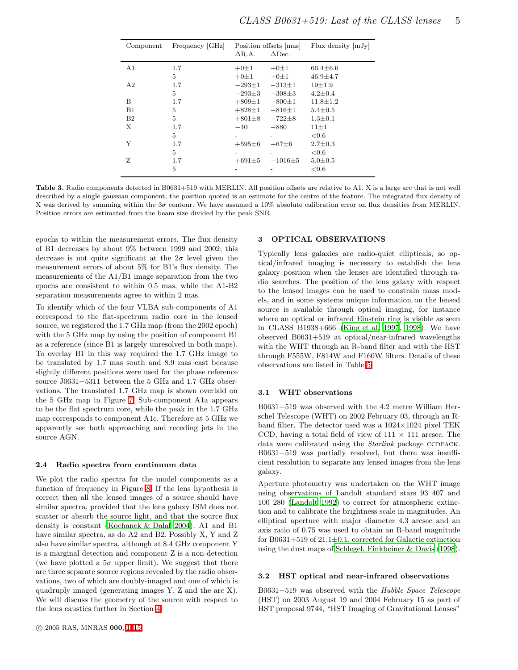| Component      | Frequency [GHz] | Position offsets [mas]<br>$\Delta$ R.A.<br>$\Delta$ Dec. |                          | Flux density $[mJy]$ |  |
|----------------|-----------------|----------------------------------------------------------|--------------------------|----------------------|--|
| A <sub>1</sub> | 1.7             | $+0±1$                                                   | $+0±1$                   | $66.4 \pm 6.6$       |  |
|                | 5               | $+0±1$                                                   | $+0±1$                   | $46.9 \pm 4.7$       |  |
| A2             | 1.7             | $-293 \pm 1$                                             | $-313 \pm 1$             | $19 + 1.9$           |  |
|                | 5               | $-293\pm3$                                               | $-308\pm3$               | $4.2 \pm 0.4$        |  |
| B              | 1.7             | $+809 \pm 1$                                             | $-800 \pm 1$             | $11.8 \pm 1.2$       |  |
| $_{\rm B1}$    | 5               | $+828 \pm 1$                                             | $-816 \pm 1$             | $5.4 \pm 0.5$        |  |
| B <sub>2</sub> | 5               | $+801\pm8$                                               | $-722\pm8$               | $1.3 \pm 0.1$        |  |
| X              | $1.7\,$         | $-40$                                                    | $-880$                   | $11\pm1$             |  |
|                | 5               |                                                          | $\overline{\phantom{a}}$ | < 0.6                |  |
| Y              | 1.7             | $+595\pm 6$                                              | $+67\pm 6$               | $2.7 \pm 0.3$        |  |
|                | 5               |                                                          |                          | ${<}0.6$             |  |
| z              | 1.7             | $+691\pm5$                                               | $-1016 + 5$              | $5.0 \pm 0.5$        |  |
|                | 5               |                                                          |                          | ${<}0.6$             |  |

<span id="page-4-1"></span>Table 3. Radio components detected in B0631+519 with MERLIN. All position offsets are relative to A1. X is a large arc that is not well described by a single gaussian component; the position quoted is an estimate for the centre of the feature. The integrated flux density of X was derived by summing within the  $3\sigma$  contour. We have assumed a 10% absolute calibration error on flux densities from MERLIN. Position errors are estimated from the beam size divided by the peak SNR.

epochs to within the measurement errors. The flux density of B1 decreases by about 9% between 1999 and 2002; this decrease is not quite significant at the  $2\sigma$  level given the measurement errors of about 5% for B1's flux density. The measurements of the A1/B1 image separation from the two epochs are consistent to within 0.5 mas, while the A1-B2 separation measurements agree to within 2 mas.

To identify which of the four VLBA sub-components of A1 correspond to the flat-spectrum radio core in the lensed source, we registered the 1.7 GHz map (from the 2002 epoch) with the 5 GHz map by using the position of component B1 as a reference (since B1 is largely unresolved in both maps). To overlay B1 in this way required the 1.7 GHz image to be translated by 1.7 mas south and 8.9 mas east because slightly different positions were used for the phase reference source J0631+5311 between the 5 GHz and 1.7 GHz observations. The translated 1.7 GHz map is shown overlaid on the 5 GHz map in Figure [7.](#page-8-0) Sub-component A1a appears to be the flat spectrum core, while the peak in the 1.7 GHz map corresponds to component A1c. Therefore at 5 GHz we apparently see both approaching and receding jets in the source AGN.

#### 2.4 Radio spectra from continuum data

We plot the radio spectra for the model components as a function of frequency in Figure [8.](#page-8-1) If the lens hypothesis is correct then all the lensed images of a source should have similar spectra, provided that the lens galaxy ISM does not scatter or absorb the source light, and that the source flux density is constant [\(Kochanek & Dalal 2004\)](#page-13-7). A1 and B1 have similar spectra, as do A2 and B2. Possibly X, Y and Z also have similar spectra, although at 8.4 GHz component Y is a marginal detection and component Z is a non-detection (we have plotted a  $5\sigma$  upper limit). We suggest that there are three separate source regions revealed by the radio observations, two of which are doubly-imaged and one of which is quadruply imaged (generating images Y, Z and the arc X). We will discuss the geometry of the source with respect to the lens caustics further in Section [4.](#page-10-0)

#### <span id="page-4-0"></span>3 OPTICAL OBSERVATIONS

Typically lens galaxies are radio-quiet ellipticals, so optical/infrared imaging is necessary to establish the lens galaxy position when the lenses are identified through radio searches. The position of the lens galaxy with respect to the lensed images can be used to constrain mass models, and in some systems unique information on the lensed source is available through optical imaging, for instance where an optical or infrared Einstein ring is visible as seen in CLASS B1938+666 [\(King et al. 1997](#page-13-4), [1998\)](#page-13-5). We have observed B0631+519 at optical/near-infrared wavelengths with the WHT through an R-band filter and with the HST through F555W, F814W and F160W filters. Details of these observations are listed in Table [5.](#page-5-1)

#### 3.1 WHT observations

B0631+519 was observed with the 4.2 metre William Herschel Telescope (WHT) on 2002 February 03, through an Rband filter. The detector used was a  $1024\times1024$  pixel TEK CCD, having a total field of view of  $111 \times 111$  arcsec. The data were calibrated using the *Starlink* package CCDPACK. B0631+519 was partially resolved, but there was insufficient resolution to separate any lensed images from the lens galaxy.

Aperture photometry was undertaken on the WHT image using observations of Landolt standard stars 93 407 and 100 280 [\(Landolt 1992\)](#page-14-5) to correct for atmospheric extinction and to calibrate the brightness scale in magnitudes. An elliptical aperture with major diameter 4.3 arcsec and an axis ratio of 0.75 was used to obtain an R-band magnitude for B0631+519 of  $21.1 \pm 0.1$ , corrected for Galactic extinction using the dust maps of [Schlegel, Finkbeiner & Davis \(1998](#page-14-6)).

## 3.2 HST optical and near-infrared observations

B0631+519 was observed with the Hubble Space Telescope (HST) on 2003 August 19 and 2004 February 15 as part of HST proposal 9744, "HST Imaging of Gravitational Lenses"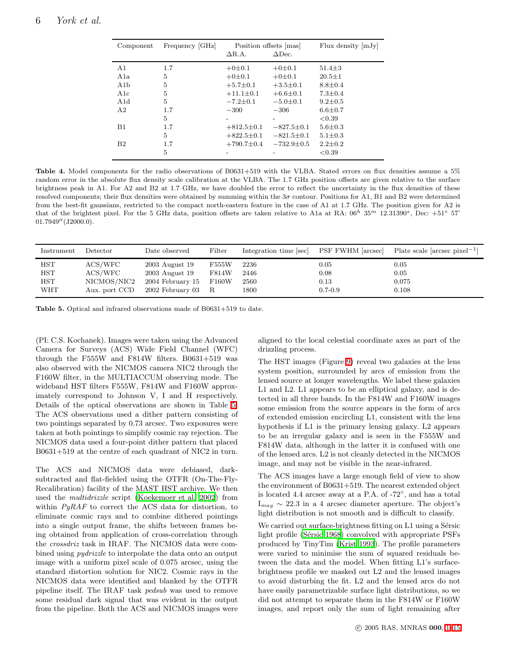| Component        | Frequency   GHz | Position offsets   mas  <br>$\Delta$ Dec.<br>$\Delta$ R.A. |                  | Flux density $ mJy $ |  |
|------------------|-----------------|------------------------------------------------------------|------------------|----------------------|--|
|                  |                 |                                                            |                  |                      |  |
| A <sub>1</sub>   | 1.7             | $+0\n\pm 0.1$                                              | $+0\n\pm0.1$     | $51.4 \pm 3$         |  |
| A1a              | 5               | $+0\n\pm 0.1$                                              | $+0\n\pm0.1$     | $20.5 \pm 1$         |  |
| A1b              | 5               | $+5.7 \pm 0.1$                                             | $+3.5 \pm 0.1$   | $8.8 \pm 0.4$        |  |
| $_{\rm A1c}$     | 5               | $+11.1 \pm 0.1$                                            | $+6.6 \pm 0.1$   | $7.3 \pm 0.4$        |  |
| A <sub>1</sub> d | 5               | $-7.2 \pm 0.1$                                             | $-5.0 \pm 0.1$   | $9.2 \pm 0.5$        |  |
| A <sub>2</sub>   | 1.7             | $-300$                                                     | $-306$           | $6.6 \pm 0.7$        |  |
|                  | 5               |                                                            |                  | < 0.39               |  |
| B1               | 1.7             | $+812.5 \pm 0.1$                                           | $-827.5 \pm 0.1$ | $5.6 \pm 0.3$        |  |
|                  | 5               | $+822.5 \pm 0.1$                                           | $-821.5 \pm 0.1$ | $5.1 \pm 0.3$        |  |
| B <sub>2</sub>   | 1.7             | $+790.7 \pm 0.4$                                           | $-732.9 \pm 0.5$ | $2.2 \pm 0.2$        |  |
|                  | 5               |                                                            |                  | ${<}0.39$            |  |

<span id="page-5-0"></span>Table 4. Model components for the radio observations of B0631+519 with the VLBA. Stated errors on flux densities assume a 5% random error in the absolute flux density scale calibration at the VLBA. The 1.7 GHz position offsets are given relative to the surface brightness peak in A1. For A2 and B2 at 1.7 GHz, we have doubled the error to reflect the uncertainty in the flux densities of these resolved components; their flux densities were obtained by summing within the  $3\sigma$  contour. Positions for A1, B1 and B2 were determined from the best-fit gaussians, restricted to the compact north-eastern feature in the case of A1 at 1.7 GHz. The position given for A2 is that of the brightest pixel. For the 5 GHz data, position offsets are taken relative to A1a at RA:  $06^h$  35<sup>m</sup> 12.31390<sup>s</sup>, Dec: +51<sup>°</sup> 57' 01.7949" (J2000.0).

| Instrument   | Detector      | Date observed    | Filter | Integration time [sec] | PSF FWHM [arcsec] | Plate scale $\left[\text{arcsec pixel}^{-1}\right]$ |
|--------------|---------------|------------------|--------|------------------------|-------------------|-----------------------------------------------------|
| <b>HST</b>   | ACS / WFC     | 2003 August 19   | F555W  | 2236                   | 0.05              | $\rm 0.05$                                          |
| HST          | ACS / WFC     | 2003 August 19   | F814W  | 2446                   | 0.08              | 0.05                                                |
| $_{\rm HST}$ | NICMOS/NIC2   | 2004 February 15 | F160W  | 2560                   | 0.13              | 0.075                                               |
| <b>WHT</b>   | Aux. port CCD | 2002 February 03 | -R.    | 1800                   | $0.7 - 0.9$       | 0.108                                               |

<span id="page-5-1"></span>Table 5. Optical and infrared observations made of B0631+519 to date.

(PI: C.S. Kochanek). Images were taken using the Advanced Camera for Surveys (ACS) Wide Field Channel (WFC) through the F555W and F814W filters. B0631+519 was also observed with the NICMOS camera NIC2 through the F160W filter, in the MULTIACCUM observing mode. The wideband HST filters F555W, F814W and F160W approximately correspond to Johnson V, I and H respectively. Details of the optical observations are shown in Table [5.](#page-5-1) The ACS observations used a dither pattern consisting of two pointings separated by 0.73 arcsec. Two exposures were taken at both pointings to simplify cosmic ray rejection. The NICMOS data used a four-point dither pattern that placed B0631+519 at the centre of each quadrant of NIC2 in turn.

The ACS and NICMOS data were debiased, darksubtracted and flat-fielded using the OTFR (On-The-Fly-Recalibration) facility of the MAST HST archive. We then used the multidrizzle script [\(Koekemoer et al. 2002](#page-14-7)) from within  $PyRAF$  to correct the ACS data for distortion, to eliminate cosmic rays and to combine dithered pointings into a single output frame, the shifts between frames being obtained from application of cross-correlation through the crossdriz task in IRAF. The NICMOS data were combined using pydrizzle to interpolate the data onto an output image with a uniform pixel scale of 0.075 arcsec, using the standard distortion solution for NIC2. Cosmic rays in the NICMOS data were identified and blanked by the OTFR pipeline itself. The IRAF task pedsub was used to remove some residual dark signal that was evident in the output from the pipeline. Both the ACS and NICMOS images were

aligned to the local celestial coordinate axes as part of the drizzling process.

The HST images (Figure [9\)](#page-6-0) reveal two galaxies at the lens system position, surrounded by arcs of emission from the lensed source at longer wavelengths. We label these galaxies L1 and L2. L1 appears to be an elliptical galaxy, and is detected in all three bands. In the F814W and F160W images some emission from the source appears in the form of arcs of extended emission encircling L1, consistent with the lens hypothesis if L1 is the primary lensing galaxy. L2 appears to be an irregular galaxy and is seen in the F555W and F814W data, although in the latter it is confused with one of the lensed arcs. L2 is not cleanly detected in the NICMOS image, and may not be visible in the near-infrared.

The ACS images have a large enough field of view to show the environment of B0631+519. The nearest extended object is located 4.4 arcsec away at a P.A. of -72◦ , and has a total  $I_{mag} \sim 22.3$  in a 4 arcsec diameter aperture. The object's light distribution is not smooth and is difficult to classify.

We carried out surface-brightness fitting on  $L1$  using a Sérsic light profile (Sérsic 1968) convolved with appropriate PSFs produced by TinyTim [\(Krist 1993](#page-14-9)). The profile parameters were varied to minimise the sum of squared residuals between the data and the model. When fitting L1's surfacebrightness profile we masked out L2 and the lensed images to avoid disturbing the fit. L2 and the lensed arcs do not have easily parametrizable surface light distributions, so we did not attempt to separate them in the F814W or F160W images, and report only the sum of light remaining after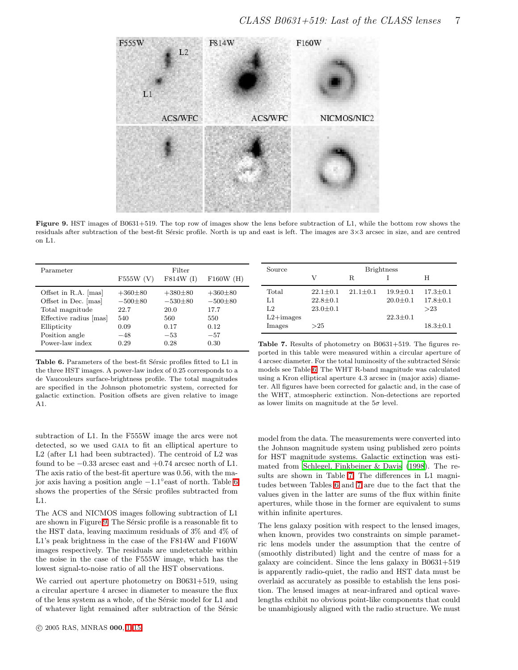

<span id="page-6-0"></span>Figure 9. HST images of B0631+519. The top row of images show the lens before subtraction of L1, while the bottom row shows the residuals after subtraction of the best-fit Sérsic profile. North is up and east is left. The images are  $3\times3$  arcsec in size, and are centred on L1.

| Parameter              |             | Filter      |             | Source                                                              |                |                | <b>Brightness</b> |                |
|------------------------|-------------|-------------|-------------|---------------------------------------------------------------------|----------------|----------------|-------------------|----------------|
|                        | $F555W$ (V) | F814W (I)   | F160W(H)    |                                                                     | V              | R.             |                   |                |
| Offset in R.A. [mas]   | $+360\pm80$ | $+380\pm80$ | $+360\pm80$ | Total                                                               | $22.1 \pm 0.1$ | $21.1 \pm 0.1$ | $19.9 \pm 0.1$    | $17.3 \pm 0.1$ |
| Offset in Dec. [mas]   | $-500\pm80$ | $-530\pm80$ | $-500\pm80$ | L1                                                                  | $22.8 \pm 0.1$ |                | $20.0 \pm 0.1$    | $17.8 \pm 0.1$ |
| Total magnitude        | 22.7        | 20.0        | 17.7        | L2                                                                  | $23.0 \pm 0.1$ |                |                   | >23            |
| Effective radius [mas] | 540         | 560         | 550         | $L2+$ images                                                        |                |                | $22.3 \pm 0.1$    |                |
| Ellipticity            | 0.09        | 0.17        | 0.12        | Images                                                              | >25            |                |                   | $18.3 \pm 0.1$ |
| Position angle         | $-48$       | $-53$       | $-57$       |                                                                     |                |                |                   |                |
| Power-law index        | 0.29        | 0.28        | 0.30        | <b>Table 7.</b> Results of photometry on B0631+519. The figures re- |                |                |                   |                |

<span id="page-6-1"></span>Table 6. Parameters of the best-fit Sérsic profiles fitted to L1 in the three HST images. A power-law index of 0.25 corresponds to a de Vaucouleurs surface-brightness profile. The total magnitudes are specified in the Johnson photometric system, corrected for galactic extinction. Position offsets are given relative to image A1.

<span id="page-6-2"></span>ported in this table were measured within a circular aperture of 4 arcsec diameter. For the total luminosity of the subtracted Sérsic models see Table [6.](#page-6-1) The WHT R-band magnitude was calculated using a Kron elliptical aperture 4.3 arcsec in (major axis) diameter. All figures have been corrected for galactic and, in the case of the WHT, atmospheric extinction. Non-detections are reported as lower limits on magnitude at the  $5\sigma$  level.

subtraction of L1. In the F555W image the arcs were not detected, so we used GAIA to fit an elliptical aperture to L2 (after L1 had been subtracted). The centroid of L2 was found to be −0.33 arcsec east and +0.74 arcsec north of L1. The axis ratio of the best-fit aperture was 0.56, with the major axis having a position angle −1.1◦ east of north. Table [6](#page-6-1) shows the properties of the Sérsic profiles subtracted from L1.

The ACS and NICMOS images following subtraction of L1 are shown in Figure [9.](#page-6-0) The Sérsic profile is a reasonable fit to the HST data, leaving maximum residuals of 3% and 4% of L1's peak brightness in the case of the F814W and F160W images respectively. The residuals are undetectable within the noise in the case of the F555W image, which has the lowest signal-to-noise ratio of all the HST observations.

We carried out aperture photometry on B0631+519, using a circular aperture 4 arcsec in diameter to measure the flux of the lens system as a whole, of the Sérsic model for L1 and of whatever light remained after subtraction of the Sérsic

model from the data. The measurements were converted into the Johnson magnitude system using published zero points for HST magnitude systems. Galactic extinction was estimated from [Schlegel, Finkbeiner & Davis \(1998\)](#page-14-6). The results are shown in Table [7.](#page-6-2) The differences in L1 magnitudes between Tables [6](#page-6-1) and [7](#page-6-2) are due to the fact that the values given in the latter are sums of the flux within finite apertures, while those in the former are equivalent to sums within infinite apertures.

The lens galaxy position with respect to the lensed images, when known, provides two constraints on simple parametric lens models under the assumption that the centre of (smoothly distributed) light and the centre of mass for a galaxy are coincident. Since the lens galaxy in B0631+519 is apparently radio-quiet, the radio and HST data must be overlaid as accurately as possible to establish the lens position. The lensed images at near-infrared and optical wavelengths exhibit no obvious point-like components that could be unambigiously aligned with the radio structure. We must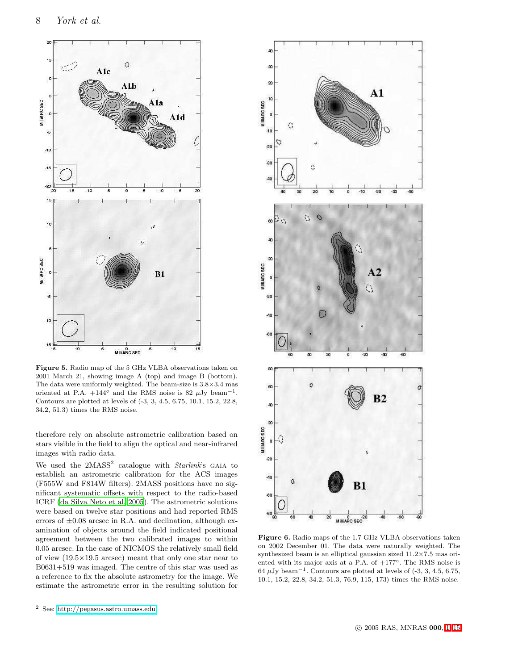

<span id="page-7-0"></span>Figure 5. Radio map of the 5 GHz VLBA observations taken on 2001 March 21, showing image A (top) and image B (bottom). The data were uniformly weighted. The beam-size is 3.8×3.4 mas oriented at P.A.  $+144^{\circ}$  and the RMS noise is 82  $\mu$ Jy beam<sup>-1</sup>. Contours are plotted at levels of (-3, 3, 4.5, 6.75, 10.1, 15.2, 22.8, 34.2, 51.3) times the RMS noise.

therefore rely on absolute astrometric calibration based on stars visible in the field to align the optical and near-infrared images with radio data.

We used the  $2MASS<sup>2</sup>$  catalogue with  $Starlink$ 's GAIA to establish an astrometric calibration for the ACS images (F555W and F814W filters). 2MASS positions have no significant systematic offsets with respect to the radio-based ICRF [\(da Silva Neto et al. 2005](#page-13-8)). The astrometric solutions were based on twelve star positions and had reported RMS errors of  $\pm 0.08$  arcsec in R.A. and declination, although examination of objects around the field indicated positional agreement between the two calibrated images to within 0.05 arcsec. In the case of NICMOS the relatively small field of view (19.5×19.5 arcsec) meant that only one star near to B0631+519 was imaged. The centre of this star was used as a reference to fix the absolute astrometry for the image. We estimate the astrometric error in the resulting solution for



<span id="page-7-1"></span>Figure 6. Radio maps of the 1.7 GHz VLBA observations taken on 2002 December 01. The data were naturally weighted. The synthesized beam is an elliptical gaussian sized 11.2×7.5 mas oriented with its major axis at a P.A. of +177◦. The RMS noise is  $64 \mu$ Jy beam<sup>-1</sup>. Contours are plotted at levels of  $(-3, 3, 4.5, 6.75,$ 10.1, 15.2, 22.8, 34.2, 51.3, 76.9, 115, 173) times the RMS noise.

<sup>2</sup> See:<http://pegasus.astro.umass.edu>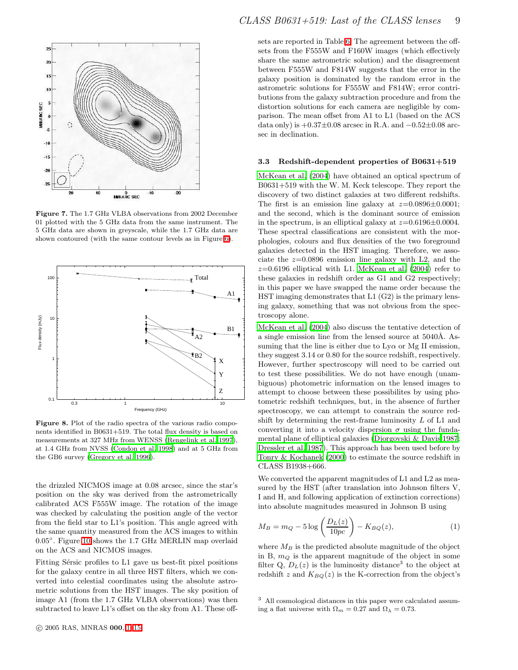

<span id="page-8-0"></span>Figure 7. The 1.7 GHz VLBA observations from 2002 December 01 plotted with the 5 GHz data from the same instrument. The 5 GHz data are shown in greyscale, while the 1.7 GHz data are shown contoured (with the same contour levels as in Figure [6\)](#page-7-1).



<span id="page-8-1"></span>Figure 8. Plot of the radio spectra of the various radio components identified in B0631+519. The total flux density is based on measurements at 327 MHz from WENSS [\(Rengelink et al. 1997](#page-14-10)), at 1.4 GHz from NVSS [\(Condon et al. 1998](#page-13-9)) and at 5 GHz from the GB6 survey [\(Gregory et al. 1996](#page-13-10)).

the drizzled NICMOS image at 0.08 arcsec, since the star's position on the sky was derived from the astrometrically calibrated ACS F555W image. The rotation of the image was checked by calculating the position angle of the vector from the field star to L1's position. This angle agreed with the same quantity measured from the ACS images to within 0.05◦ . Figure [10](#page-9-0) shows the 1.7 GHz MERLIN map overlaid on the ACS and NICMOS images.

Fitting Sérsic profiles to L1 gave us best-fit pixel positions for the galaxy centre in all three HST filters, which we converted into celestial coordinates using the absolute astrometric solutions from the HST images. The sky position of image A1 (from the 1.7 GHz VLBA observations) was then subtracted to leave L1's offset on the sky from A1. These off-

sets are reported in Table [6.](#page-6-1) The agreement between the offsets from the F555W and F160W images (which effectively share the same astrometric solution) and the disagreement between F555W and F814W suggests that the error in the galaxy position is dominated by the random error in the astrometric solutions for F555W and F814W; error contributions from the galaxy subtraction procedure and from the distortion solutions for each camera are negligible by comparison. The mean offset from A1 to L1 (based on the ACS data only) is  $+0.37\pm0.08$  arcsec in R.A. and  $-0.52\pm0.08$  arcsec in declination.

#### <span id="page-8-3"></span>3.3 Redshift-dependent properties of B0631+519

[McKean et al. \(2004](#page-14-11)) have obtained an optical spectrum of B0631+519 with the W. M. Keck telescope. They report the discovery of two distinct galaxies at two different redshifts. The first is an emission line galaxy at  $z=0.0896\pm0.0001$ ; and the second, which is the dominant source of emission in the spectrum, is an elliptical galaxy at  $z=0.6196\pm0.0004$ . These spectral classifications are consistent with the morphologies, colours and flux densities of the two foreground galaxies detected in the HST imaging. Therefore, we associate the  $z=0.0896$  emission line galaxy with L2, and the  $z=0.6196$  elliptical with L1. [McKean et al. \(2004](#page-14-11)) refer to these galaxies in redshift order as G1 and G2 respectively; in this paper we have swapped the name order because the HST imaging demonstrates that L1 (G2) is the primary lensing galaxy, something that was not obvious from the spectroscopy alone.

[McKean et al. \(2004](#page-14-11)) also discuss the tentative detection of a single emission line from the lensed source at  $5040\text{\AA}$ . Assuming that the line is either due to  $Ly\alpha$  or Mg II emission, they suggest 3.14 or 0.80 for the source redshift, respectively. However, further spectroscopy will need to be carried out to test these possibilities. We do not have enough (unambiguous) photometric information on the lensed images to attempt to choose between these possibilites by using photometric redshift techniques, but, in the absence of further spectroscopy, we can attempt to constrain the source redshift by determining the rest-frame luminosity  $L$  of  $L1$  and converting it into a velocity dispersion  $\sigma$  using the fundamental plane of elliptical galaxies [\(Djorgovski & Davis 1987](#page-13-11); [Dressler et al. 1987\)](#page-13-12). This approach has been used before by [Tonry & Kochanek \(2000\)](#page-14-12) to estimate the source redshift in CLASS B1938+666.

We converted the apparent magnitudes of L1 and L2 as measured by the HST (after translation into Johnson filters V, I and H, and following application of extinction corrections) into absolute magnitudes measured in Johnson B using

<span id="page-8-2"></span>
$$
M_B = m_Q - 5 \log \left( \frac{D_L(z)}{10pc} \right) - K_{BQ}(z),\tag{1}
$$

where  $M_B$  is the predicted absolute magnitude of the object in B,  $m_Q$  is the apparent magnitude of the object in some filter Q,  $D_L(z)$  is the luminosity distance<sup>3</sup> to the object at redshift z and  $K_{BQ}(z)$  is the K-correction from the object's

<sup>3</sup> All cosmological distances in this paper were calculated assuming a flat universe with  $\Omega_m = 0.27$  and  $\Omega_{\lambda} = 0.73$ .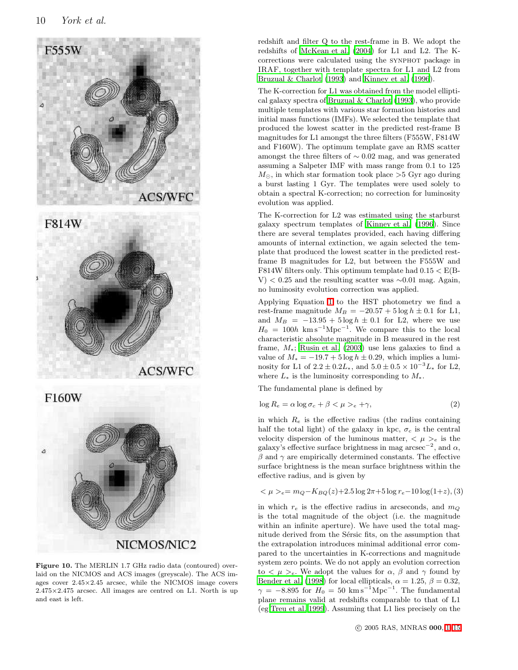



F160W

<span id="page-9-0"></span>

Figure 10. The MERLIN 1.7 GHz radio data (contoured) overlaid on the NICMOS and ACS images (greyscale). The ACS images cover 2.45×2.45 arcsec, while the NICMOS image covers 2.475×2.475 arcsec. All images are centred on L1. North is up and east is left.

redshift and filter Q to the rest-frame in B. We adopt the redshifts of [McKean et al. \(2004\)](#page-14-11) for L1 and L2. The Kcorrections were calculated using the synphot package in IRAF, together with template spectra for L1 and L2 from [Bruzual & Charlot \(1993\)](#page-13-13) and [Kinney et al. \(1996](#page-13-14)).

The K-correction for L1 was obtained from the model elliptical galaxy spectra of [Bruzual & Charlot \(1993](#page-13-13)), who provide multiple templates with various star formation histories and initial mass functions (IMFs). We selected the template that produced the lowest scatter in the predicted rest-frame B magnitudes for L1 amongst the three filters (F555W, F814W and F160W). The optimum template gave an RMS scatter amongst the three filters of ∼ 0.02 mag, and was generated assuming a Salpeter IMF with mass range from 0.1 to 125  $M_{\odot}$ , in which star formation took place >5 Gyr ago during a burst lasting 1 Gyr. The templates were used solely to obtain a spectral K-correction; no correction for luminosity evolution was applied.

The K-correction for L2 was estimated using the starburst galaxy spectrum templates of [Kinney et al. \(1996](#page-13-14)). Since there are several templates provided, each having differing amounts of internal extinction, we again selected the template that produced the lowest scatter in the predicted restframe B magnitudes for L2, but between the F555W and F814W filters only. This optimum template had  $0.15 < E(B-$ V) < 0.25 and the resulting scatter was ∼0.01 mag. Again, no luminosity evolution correction was applied.

Applying Equation [1](#page-8-2) to the HST photometry we find a rest-frame magnitude  $M_B = -20.57 + 5 \log h \pm 0.1$  for L1, and  $M_B = -13.95 + 5 \log h \pm 0.1$  for L2, where we use  $H_0 = 100h \text{ km s}^{-1} \text{Mpc}^{-1}$ . We compare this to the local characteristic absolute magnitude in B measured in the rest frame,  $M_*$ ; [Rusin et al. \(2003](#page-14-13)) use lens galaxies to find a value of  $M_* = -19.7 + 5 \log h \pm 0.29$ , which implies a luminosity for L1 of  $2.2 \pm 0.2L_*$ , and  $5.0 \pm 0.5 \times 10^{-3}L_*$  for L2, where  $L_*$  is the luminosity corresponding to  $M_*$ .

The fundamental plane is defined by

$$
\log R_e = \alpha \log \sigma_c + \beta < \mu > \varepsilon + \gamma,\tag{2}
$$

in which  $R_e$  is the effective radius (the radius containing half the total light) of the galaxy in kpc,  $\sigma_c$  is the central velocity dispersion of the luminous matter,  $\langle \mu \rangle_e$  is the galaxy's effective surface brightness in mag arcsec<sup>-2</sup>, and  $\alpha$ ,  $\beta$  and  $\gamma$  are empirically determined constants. The effective surface brightness is the mean surface brightness within the effective radius, and is given by

$$
\langle \mu \rangle_e = m_Q - K_{BQ}(z) + 2.5 \log 2\pi + 5 \log r_e - 10 \log(1+z), (3)
$$

in which  $r_e$  is the effective radius in arcseconds, and  $m_Q$ is the total magnitude of the object (i.e. the magnitude within an infinite aperture). We have used the total magnitude derived from the Sérsic fits, on the assumption that the extrapolation introduces minimal additional error compared to the uncertainties in K-corrections and magnitude system zero points. We do not apply an evolution correction to  $\langle \mu \rangle_e$ . We adopt the values for  $\alpha$ ,  $\beta$  and  $\gamma$  found by [Bender et al. \(1998](#page-13-15)) for local ellipticals,  $\alpha = 1.25, \beta = 0.32,$  $\gamma = -8.895$  for  $H_0 = 50$  km s<sup>-1</sup>Mpc<sup>-1</sup>. The fundamental plane remains valid at redshifts comparable to that of L1 (eg [Treu et al. 1999](#page-14-14)). Assuming that L1 lies precisely on the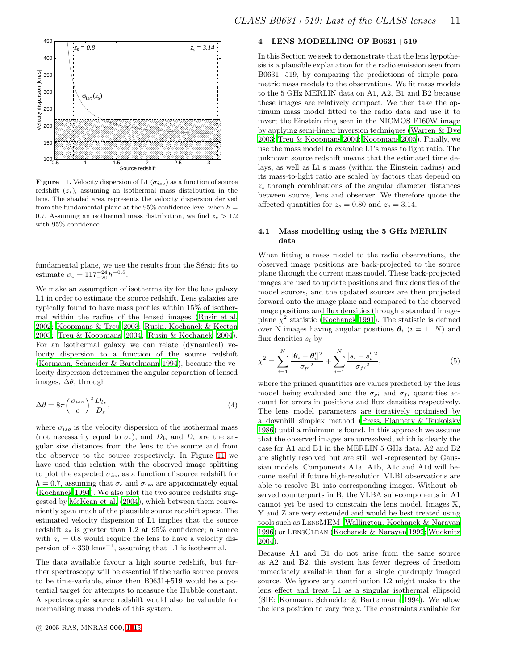

<span id="page-10-1"></span>**Figure 11.** Velocity dispersion of L1 ( $\sigma_{iso}$ ) as a function of source redshift  $(z_s)$ , assuming an isothermal mass distribution in the lens. The shaded area represents the velocity dispersion derived from the fundamental plane at the 95% confidence level when  $h =$ 0.7. Assuming an isothermal mass distribution, we find  $z_s > 1.2$ with 95% confidence.

fundamental plane, we use the results from the Sérsic fits to estimate  $\sigma_c = 117^{+24}_{-20} h^{-0.8}$ .

We make an assumption of isothermality for the lens galaxy L1 in order to estimate the source redshift. Lens galaxies are typically found to have mass profiles within 15% of isothermal within the radius of the lensed images [\(Rusin et al.](#page-14-15) [2002](#page-14-15); [Koopmans & Treu 2003](#page-14-16); [Rusin, Kochanek & Keeton](#page-14-17) [2003](#page-14-17); [Treu & Koopmans 2004](#page-14-18); [Rusin & Kochanek 2004](#page-14-19)). For an isothermal galaxy we can relate (dynamical) velocity dispersion to a function of the source redshift [\(Kormann, Schneider & Bartelmann 1994](#page-14-20)), because the velocity dispersion determines the angular separation of lensed images,  $\Delta\theta$ , through

$$
\Delta \theta = 8\pi \left(\frac{\sigma_{iso}}{c}\right)^2 \frac{D_{ls}}{D_s},\tag{4}
$$

where  $\sigma_{iso}$  is the velocity dispersion of the isothermal mass (not necessarily equal to  $\sigma_c$ ), and  $D_{\rm ls}$  and  $D_{\rm s}$  are the angular size distances from the lens to the source and from the observer to the source respectively. In Figure [11](#page-10-1) we have used this relation with the observed image splitting to plot the expected  $\sigma_{iso}$  as a function of source redshift for  $h = 0.7$ , assuming that  $\sigma_c$  and  $\sigma_{iso}$  are approximately equal [\(Kochanek 1994](#page-13-16)). We also plot the two source redshifts suggested by [McKean et al. \(2004](#page-14-11)), which between them conveniently span much of the plausible source redshift space. The estimated velocity dispersion of L1 implies that the source redshift  $z_s$  is greater than 1.2 at 95% confidence; a source with  $z_s = 0.8$  would require the lens to have a velocity dispersion of  $\sim$ 330 kms<sup>-1</sup>, assuming that L1 is isothermal.

The data available favour a high source redshift, but further spectroscopy will be essential if the radio source proves to be time-variable, since then B0631+519 would be a potential target for attempts to measure the Hubble constant. A spectroscopic source redshift would also be valuable for normalising mass models of this system.

## <span id="page-10-0"></span>4 LENS MODELLING OF B0631+519

In this Section we seek to demonstrate that the lens hypothesis is a plausible explanation for the radio emission seen from B0631+519, by comparing the predictions of simple parametric mass models to the observations. We fit mass models to the 5 GHz MERLIN data on A1, A2, B1 and B2 because these images are relatively compact. We then take the optimum mass model fitted to the radio data and use it to invert the Einstein ring seen in the NICMOS F160W image by applying semi-linear inversion techniques [\(Warren & Dye](#page-14-21) [2003](#page-14-21); [Treu & Koopmans 2004](#page-14-18); [Koopmans 2005](#page-14-22)). Finally, we use the mass model to examine L1's mass to light ratio. The unknown source redshift means that the estimated time delays, as well as L1's mass (within the Einstein radius) and its mass-to-light ratio are scaled by factors that depend on  $z<sub>s</sub>$  through combinations of the angular diameter distances between source, lens and observer. We therefore quote the affected quantities for  $z_s = 0.80$  and  $z_s = 3.14$ .

## 4.1 Mass modelling using the 5 GHz MERLIN data

When fitting a mass model to the radio observations, the observed image positions are back-projected to the source plane through the current mass model. These back-projected images are used to update positions and flux densities of the model sources, and the updated sources are then projected forward onto the image plane and compared to the observed image positions and flux densities through a standard imageplane  $\chi^2$  statistic [\(Kochanek 1991\)](#page-13-17). The statistic is defined over N images having angular positions  $\theta_i$  (i = 1...N) and flux densities  $s_i$  by

$$
\chi^2 = \sum_{i=1}^N \frac{|\theta_i - \theta'_i|^2}{\sigma_{pi}^2} + \sum_{i=1}^N \frac{|s_i - s'_i|^2}{\sigma_{fi}^2},\tag{5}
$$

where the primed quantities are values predicted by the lens model being evaluated and the  $\sigma_{ni}$  and  $\sigma_{fi}$  quantities account for errors in positions and flux densities respectively. The lens model parameters are iteratively optimised by a downhill simplex method [\(Press, Flannery & Teukolsky](#page-14-23) [1986](#page-14-23)) until a minimum is found. In this approach we assume that the observed images are unresolved, which is clearly the case for A1 and B1 in the MERLIN 5 GHz data. A2 and B2 are slightly resolved but are still well-represented by Gaussian models. Components A1a, A1b, A1c and A1d will become useful if future high-resolution VLBI observations are able to resolve B1 into corresponding images. Without observed counterparts in B, the VLBA sub-components in A1 cannot yet be used to constrain the lens model. Images X, Y and Z are very extended and would be best treated using tools such as LensMEM [\(Wallington, Kochanek & Narayan](#page-14-24) [1996](#page-14-24)) or LensClean [\(Kochanek & Narayan 1992](#page-13-18); [Wucknitz](#page-14-25) [2004](#page-14-25)).

Because A1 and B1 do not arise from the same source as A2 and B2, this system has fewer degrees of freedom immediately available than for a single quadruply imaged source. We ignore any contribution L2 might make to the lens effect and treat L1 as a singular isothermal ellipsoid (SIE; [Kormann, Schneider & Bartelmann 1994\)](#page-14-20). We allow the lens position to vary freely. The constraints available for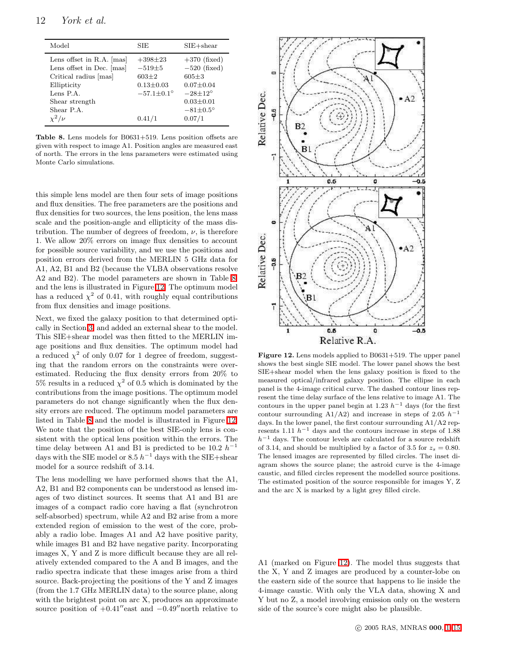| Model                                                                                                                                                         | SIE                                                                                        | $SIE + shear$                                                                                                                              |
|---------------------------------------------------------------------------------------------------------------------------------------------------------------|--------------------------------------------------------------------------------------------|--------------------------------------------------------------------------------------------------------------------------------------------|
| Lens offset in $R.A.$ [mas]<br>Lens offset in Dec. [mas]<br>Critical radius [mas]<br>Ellipticity<br>Lens P.A.<br>Shear strength<br>Shear P.A.<br>$\chi^2/\nu$ | $+398+23$<br>$-519\pm5$<br>$603+2$<br>$0.13 \pm 0.03$<br>$-57.1 \pm 0.1^{\circ}$<br>0.41/1 | $+370$ (fixed)<br>$-520$ (fixed)<br>$605 + 3$<br>$0.07 + 0.04$<br>$-28\pm12^{\circ}$<br>$0.03 \pm 0.01$<br>$-81 \pm 0.5^{\circ}$<br>0.07/1 |
|                                                                                                                                                               |                                                                                            |                                                                                                                                            |

<span id="page-11-0"></span>Table 8. Lens models for B0631+519. Lens position offsets are given with respect to image A1. Position angles are measured east of north. The errors in the lens parameters were estimated using Monte Carlo simulations.

this simple lens model are then four sets of image positions and flux densities. The free parameters are the positions and flux densities for two sources, the lens position, the lens mass scale and the position-angle and ellipticity of the mass distribution. The number of degrees of freedom,  $\nu$ , is therefore 1. We allow 20% errors on image flux densities to account for possible source variability, and we use the positions and position errors derived from the MERLIN 5 GHz data for A1, A2, B1 and B2 (because the VLBA observations resolve A2 and B2). The model parameters are shown in Table [8,](#page-11-0) and the lens is illustrated in Figure [12.](#page-11-1) The optimum model has a reduced  $\chi^2$  of 0.41, with roughly equal contributions from flux densities and image positions.

Next, we fixed the galaxy position to that determined optically in Section [3,](#page-4-0) and added an external shear to the model. This SIE+shear model was then fitted to the MERLIN image positions and flux densities. The optimum model had a reduced  $\chi^2$  of only 0.07 for 1 degree of freedom, suggesting that the random errors on the constraints were overestimated. Reducing the flux density errors from 20% to 5% results in a reduced  $\chi^2$  of 0.5 which is dominated by the contributions from the image positions. The optimum model parameters do not change significantly when the flux density errors are reduced. The optimum model parameters are listed in Table [8](#page-11-0) and the model is illustrated in Figure [12.](#page-11-1) We note that the position of the best SIE-only lens is consistent with the optical lens position within the errors. The time delay between A1 and B1 is predicted to be 10.2  $h^{-1}$ days with the SIE model or 8.5  $h^{-1}$  days with the SIE+shear model for a source redshift of 3.14.

The lens modelling we have performed shows that the A1, A2, B1 and B2 components can be understood as lensed images of two distinct sources. It seems that A1 and B1 are images of a compact radio core having a flat (synchrotron self-absorbed) spectrum, while A2 and B2 arise from a more extended region of emission to the west of the core, probably a radio lobe. Images A1 and A2 have positive parity, while images B1 and B2 have negative parity. Incorporating images X, Y and Z is more difficult because they are all relatively extended compared to the A and B images, and the radio spectra indicate that these images arise from a third source. Back-projecting the positions of the Y and Z images (from the 1.7 GHz MERLIN data) to the source plane, along with the brightest point on arc X, produces an approximate source position of  $+0.41''$ east and  $-0.49''$ north relative to



<span id="page-11-1"></span>Figure 12. Lens models applied to B0631+519. The upper panel shows the best single SIE model. The lower panel shows the best SIE+shear model when the lens galaxy position is fixed to the measured optical/infrared galaxy position. The ellipse in each panel is the 4-image critical curve. The dashed contour lines represent the time delay surface of the lens relative to image A1. The contours in the upper panel begin at 1.23  $h^{-1}$  days (for the first contour surrounding A1/A2) and increase in steps of 2.05  $h^{-1}$ days. In the lower panel, the first contour surrounding A1/A2 represents 1.11  $h^{-1}$  days and the contours increase in steps of 1.88  $h^{-1}$  days. The contour levels are calculated for a source redshift of 3.14, and should be multiplied by a factor of 3.5 for  $z_s = 0.80$ . The lensed images are represented by filled circles. The inset diagram shows the source plane; the astroid curve is the 4-image caustic, and filled circles represent the modelled source positions. The estimated position of the source responsible for images Y, Z and the arc X is marked by a light grey filled circle.

A1 (marked on Figure [12\)](#page-11-1). The model thus suggests that the X, Y and Z images are produced by a counter-lobe on the eastern side of the source that happens to lie inside the 4-image caustic. With only the VLA data, showing X and Y but no Z, a model involving emission only on the western side of the source's core might also be plausible.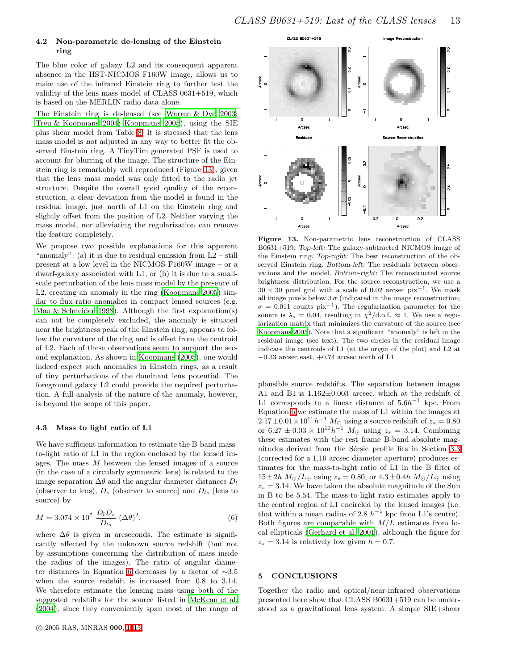### 4.2 Non-parametric de-lensing of the Einstein ring

The blue color of galaxy L2 and its consequent apparent absence in the HST-NICMOS F160W image, allows us to make use of the infrared Einstein ring to further test the validity of the lens mass model of CLASS 0631+519, which is based on the MERLIN radio data alone.

The Einstein ring is de-lensed (see [Warren & Dye 2003;](#page-14-21) [Treu & Koopmans 2004;](#page-14-18) [Koopmans 2005\)](#page-14-22), using the SIE plus shear model from Table [8.](#page-11-0) It is stressed that the lens mass model is not adjusted in any way to better fit the observed Einstein ring. A TinyTim generated PSF is used to account for blurring of the image. The structure of the Einstein ring is remarkably well reproduced (Figure [13\)](#page-12-1), given that the lens mass model was only fitted to the radio jet structure. Despite the overall good quality of the reconstruction, a clear deviation from the model is found in the residual image, just north of L1 on the Einstein ring and slightly offset from the position of L2. Neither varying the mass model, nor alleviating the regularization can remove the feature completely.

We propose two possible explanations for this apparent "anomaly": (a) it is due to residual emission from  $L2 - \text{still}$ present at a low level in the NICMOS-F160W image – or a dwarf-galaxy associated with L1, or (b) it is due to a smallscale perturbation of the lens mass model by the presence of L2, creating an anomaly in the ring [\(Koopmans 2005](#page-14-22)) similar to flux-ratio anomalies in compact lensed sources (e.g. [Mao & Schneider 1998](#page-14-26)). Although the first explanation(s) can not be completely excluded, the anomaly is situated near the brightness peak of the Einstein ring, appears to follow the curvature of the ring and is offset from the centroid of L2. Each of these observations seem to support the second explanation. As shown in [Koopmans \(2005](#page-14-22)), one would indeed expect such anomalies in Einstein rings, as a result of tiny perturbations of the dominant lens potential. The foreground galaxy L2 could provide the required perturbation. A full analysis of the nature of the anomaly, however, is beyond the scope of this paper.

## 4.3 Mass to light ratio of L1

We have sufficient information to estimate the B-band massto-light ratio of L1 in the region enclosed by the lensed images. The mass M between the lensed images of a source (in the case of a circularly symmetric lens) is related to the image separation  $\Delta\theta$  and the angular diameter distances  $D_l$ (observer to lens),  $D_s$  (observer to source) and  $D_{ls}$  (lens to source) by

<span id="page-12-2"></span>
$$
M = 3.074 \times 10^7 \frac{D_l D_s}{D_{ls}} (\Delta \theta)^2,
$$
 (6)

where  $\Delta\theta$  is given in arcseconds. The estimate is significantly affected by the unknown source redshift (but not by assumptions concerning the distribution of mass inside the radius of the images). The ratio of angular diameter distances in Equation [6](#page-12-2) decreases by a factor of ∼3.5 when the source redshift is increased from 0.8 to 3.14. We therefore estimate the lensing mass using both of the suggested redshifts for the source listed in [McKean et al.](#page-14-11) [\(2004](#page-14-11)), since they conveniently span most of the range of



<span id="page-12-1"></span>Figure 13. Non-parametric lens reconstruction of CLASS B0631+519. Top-left: The galaxy-subtracted NICMOS image of the Einstein ring. Top-right: The best reconstruction of the observed Einstein ring. Bottom-left: The residuals between observations and the model. Bottom-right: The reconstructed source brightness distribution. For the source reconstruction, we use a  $30 \times 30$  pixel grid with a scale of 0.02 arcsec pix<sup>-1</sup>. We mask all image pixels below  $3\sigma$  (indicated in the image reconstruction;  $\sigma = 0.011$  counts pix<sup>-1</sup>). The regularization parameter for the source is  $\lambda_s = 0.04$ , resulting in  $\chi^2/\text{d.o.f.} \approx 1$ . We use a regularization matrix that minimizes the curvature of the source (see [Koopmans 2005\)](#page-14-22). Note that a significant "anomaly" is left in the residual image (see text). The two circles in the residual image indicate the centroids of L1 (at the origin of the plot) and L2 at  $-0.33$  arcsec east,  $+0.74$  arcsec north of L1

plausible source redshifts. The separation between images A1 and B1 is 1.162±0.003 arcsec, which at the redshift of L1 corresponds to a linear distance of  $5.6h^{-1}$  kpc. From Equation [6](#page-12-2) we estimate the mass of L1 within the images at  $2.17\pm0.01\times10^{11}h^{-1}$   $M_{\odot}$  using a source redshift of  $z_s=0.80$ or  $6.27 \pm 0.03 \times 10^{10} h^{-1}$   $M_{\odot}$  using  $z_s = 3.14$ . Combining these estimates with the rest frame B-band absolute mag-nitudes derived from the Sérsic profile fits in Section [3.3](#page-8-3) (corrected for a 1.16 arcsec diameter aperture) produces estimates for the mass-to-light ratio of L1 in the B filter of  $15\pm2h M_{\odot}/L_{\odot}$  using  $z_s = 0.80$ , or  $4.3\pm0.4h M_{\odot}/L_{\odot}$  using  $z_s = 3.14$ . We have taken the absolute magnitude of the Sun in B to be 5.54. The mass-to-light ratio estimates apply to the central region of L1 encircled by the lensed images (i.e. that within a mean radius of 2.8  $h^{-1}$  kpc from L1's centre). Both figures are comparable with  $M/L$  estimates from local ellipticals [\(Gerhard et al. 2001](#page-13-19)), although the figure for  $z_s = 3.14$  is relatively low given  $h = 0.7$ .

## <span id="page-12-0"></span>5 CONCLUSIONS

Together the radio and optical/near-infrared observations presented here show that CLASS B0631+519 can be understood as a gravitational lens system. A simple SIE+shear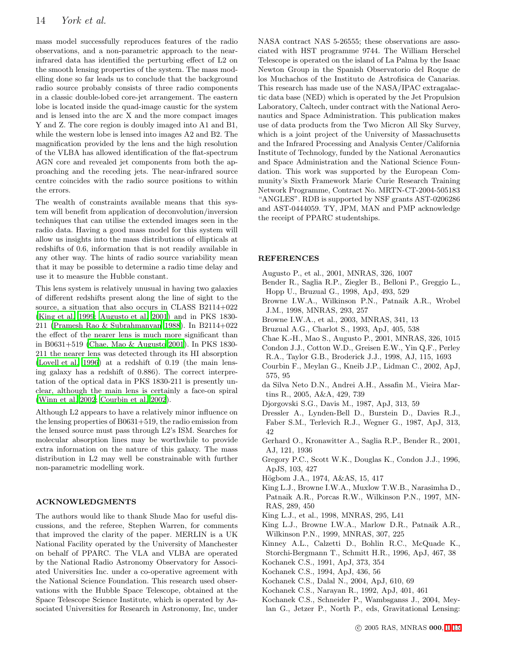mass model successfully reproduces features of the radio observations, and a non-parametric approach to the nearinfrared data has identified the perturbing effect of L2 on the smooth lensing properties of the system. The mass modelling done so far leads us to conclude that the background radio source probably consists of three radio components in a classic double-lobed core-jet arrangement. The eastern lobe is located inside the quad-image caustic for the system and is lensed into the arc X and the more compact images Y and Z. The core region is doubly imaged into A1 and B1, while the western lobe is lensed into images A2 and B2. The magnification provided by the lens and the high resolution of the VLBA has allowed identification of the flat-spectrum AGN core and revealed jet components from both the approaching and the receding jets. The near-infrared source centre coincides with the radio source positions to within the errors.

The wealth of constraints available means that this system will benefit from application of deconvolution/inversion techniques that can utilise the extended images seen in the radio data. Having a good mass model for this system will allow us insights into the mass distributions of ellipticals at redshifts of 0.6, information that is not readily available in any other way. The hints of radio source variability mean that it may be possible to determine a radio time delay and use it to measure the Hubble constant.

This lens system is relatively unusual in having two galaxies of different redshifts present along the line of sight to the source, a situation that also occurs in CLASS B2114+022 [\(King et al. 1999](#page-13-20); [Augusto et al. 2001\)](#page-13-21) and in PKS 1830- 211 [\(Pramesh Rao & Subrahmanyan 1988](#page-14-27)). In B2114+022 the effect of the nearer lens is much more significant than in B0631+519 [\(Chae, Mao & Augusto 2001](#page-13-22)). In PKS 1830- 211 the nearer lens was detected through its HI absorption [\(Lovell et al. 1996](#page-14-28)) at a redshift of 0.19 (the main lensing galaxy has a redshift of 0.886). The correct interpretation of the optical data in PKS 1830-211 is presently unclear, although the main lens is certainly a face-on spiral [\(Winn et al. 2002](#page-14-29); [Courbin et al. 2002](#page-13-23)).

Although L2 appears to have a relatively minor influence on the lensing properties of B0631+519, the radio emission from the lensed source must pass through L2's ISM. Searches for molecular absorption lines may be worthwhile to provide extra information on the nature of this galaxy. The mass distribution in L2 may well be constrainable with further non-parametric modelling work.

## ACKNOWLEDGMENTS

The authors would like to thank Shude Mao for useful discussions, and the referee, Stephen Warren, for comments that improved the clarity of the paper. MERLIN is a UK National Facility operated by the University of Manchester on behalf of PPARC. The VLA and VLBA are operated by the National Radio Astronomy Observatory for Associated Universities Inc. under a co-operative agreement with the National Science Foundation. This research used observations with the Hubble Space Telescope, obtained at the Space Telescope Science Institute, which is operated by Associated Universities for Research in Astronomy, Inc, under NASA contract NAS 5-26555; these observations are associated with HST programme 9744. The William Herschel Telescope is operated on the island of La Palma by the Isaac Newton Group in the Spanish Observatorio del Roque de los Muchachos of the Instituto de Astrofisica de Canarias. This research has made use of the NASA/IPAC extragalactic data base (NED) which is operated by the Jet Propulsion Laboratory, Caltech, under contract with the National Aeronautics and Space Administration. This publication makes use of data products from the Two Micron All Sky Survey, which is a joint project of the University of Massachusetts and the Infrared Processing and Analysis Center/California Institute of Technology, funded by the National Aeronautics and Space Administration and the National Science Foundation. This work was supported by the European Community's Sixth Framework Marie Curie Research Training Network Programme, Contract No. MRTN-CT-2004-505183 "ANGLES". RDB is supported by NSF grants AST-0206286 and AST-0444059. TY, JPM, MAN and PMP acknowledge the receipt of PPARC studentships.

### <span id="page-13-21"></span><span id="page-13-0"></span>REFERENCES

- <span id="page-13-15"></span>Augusto P., et al., 2001, MNRAS, 326, 1007
- Bender R., Saglia R.P., Ziegler B., Belloni P., Greggio L., Hopp U., Bruzual G., 1998, ApJ, 493, 529
- <span id="page-13-3"></span>Browne I.W.A., Wilkinson P.N., Patnaik A.R., Wrobel J.M., 1998, MNRAS, 293, 257
- <span id="page-13-2"></span>Browne I.W.A., et al., 2003, MNRAS, 341, 13
- <span id="page-13-13"></span>Bruzual A.G., Charlot S., 1993, ApJ, 405, 538
- <span id="page-13-22"></span><span id="page-13-9"></span>Chae K.-H., Mao S., Augusto P., 2001, MNRAS, 326, 1015
- Condon J.J., Cotton W.D., Greisen E.W., Yin Q.F., Perley R.A., Taylor G.B., Broderick J.J., 1998, AJ, 115, 1693
- <span id="page-13-23"></span>Courbin F., Meylan G., Kneib J.P., Lidman C., 2002, ApJ, 575, 95
- <span id="page-13-8"></span>da Silva Neto D.N., Andrei A.H., Assafin M., Vieira Martins R., 2005, A&A, 429, 739
- Djorgovski S.G., Davis M., 1987, ApJ, 313, 59
- <span id="page-13-12"></span><span id="page-13-11"></span>Dressler A., Lynden-Bell D., Burstein D., Davies R.J., Faber S.M., Terlevich R.J., Wegner G., 1987, ApJ, 313, 42
- <span id="page-13-19"></span>Gerhard O., Kronawitter A., Saglia R.P., Bender R., 2001, AJ, 121, 1936
- <span id="page-13-10"></span>Gregory P.C., Scott W.K., Douglas K., Condon J.J., 1996, ApJS, 103, 427
- <span id="page-13-6"></span>Högbom J.A., 1974, A&AS, 15, 417
- <span id="page-13-4"></span>King L.J., Browne I.W.A., Muxlow T.W.B., Narasimha D., Patnaik A.R., Porcas R.W., Wilkinson P.N., 1997, MN-RAS, 289, 450
- <span id="page-13-5"></span>King L.J., et al., 1998, MNRAS, 295, L41
- <span id="page-13-20"></span>King L.J., Browne I.W.A., Marlow D.R., Patnaik A.R., Wilkinson P.N., 1999, MNRAS, 307, 225
- <span id="page-13-14"></span>Kinney A.L., Calzetti D., Bohlin R.C., McQuade K.,
- Storchi-Bergmann T., Schmitt H.R., 1996, ApJ, 467, 38
- <span id="page-13-17"></span>Kochanek C.S., 1991, ApJ, 373, 354
- <span id="page-13-16"></span>Kochanek C.S., 1994, ApJ, 436, 56
- <span id="page-13-7"></span>Kochanek C.S., Dalal N., 2004, ApJ, 610, 69
- Kochanek C.S., Narayan R., 1992, ApJ, 401, 461
- <span id="page-13-18"></span><span id="page-13-1"></span>Kochanek C.S., Schneider P., Wambsganss J., 2004, Meylan G., Jetzer P., North P., eds, Gravitational Lensing: